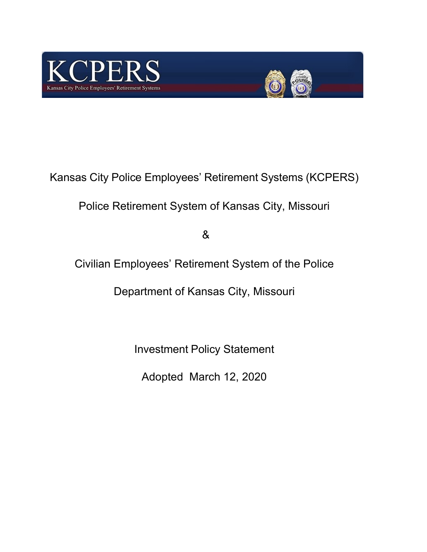



Kansas City Police Employees' Retirement Systems (KCPERS)

Police Retirement System of Kansas City, Missouri

&

Civilian Employees' Retirement System of the Police

Department of Kansas City, Missouri

Investment Policy Statement

Adopted March 12, 2020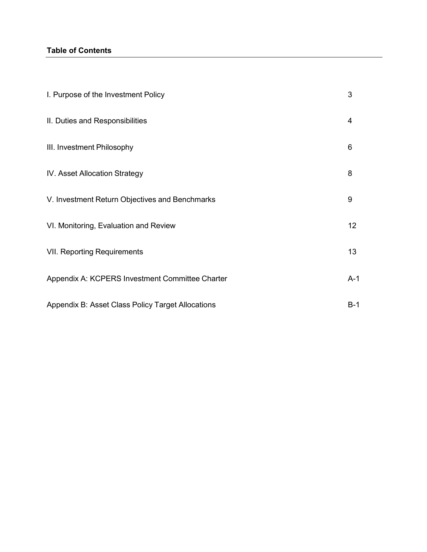## **Table of Contents**

| I. Purpose of the Investment Policy               | 3     |
|---------------------------------------------------|-------|
| II. Duties and Responsibilities                   | 4     |
| III. Investment Philosophy                        | 6     |
| IV. Asset Allocation Strategy                     | 8     |
| V. Investment Return Objectives and Benchmarks    | 9     |
| VI. Monitoring, Evaluation and Review             | 12    |
| <b>VII. Reporting Requirements</b>                | 13    |
| Appendix A: KCPERS Investment Committee Charter   | $A-1$ |
| Appendix B: Asset Class Policy Target Allocations | $B-1$ |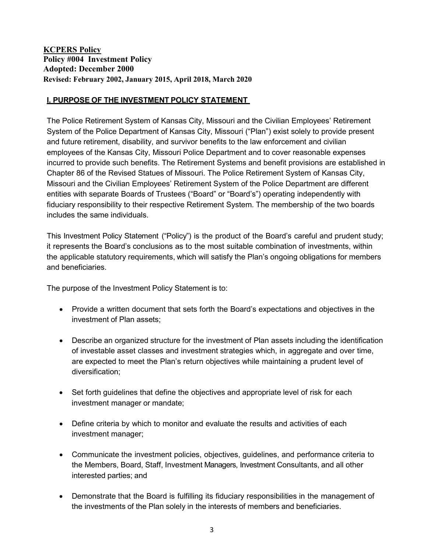# **KCPERS Policy Policy #004 Investment Policy Adopted: December 2000 Revised: February 2002, January 2015, April 2018, March 2020**

### **I. PURPOSE OF THE INVESTMENT POLICY STATEMENT**

The Police Retirement System of Kansas City, Missouri and the Civilian Employees' Retirement System of the Police Department of Kansas City, Missouri ("Plan") exist solely to provide present and future retirement, disability, and survivor benefits to the law enforcement and civilian employees of the Kansas City, Missouri Police Department and to cover reasonable expenses incurred to provide such benefits. The Retirement Systems and benefit provisions are established in Chapter 86 of the Revised Statues of Missouri. The Police Retirement System of Kansas City, Missouri and the Civilian Employees' Retirement System of the Police Department are different entities with separate Boards of Trustees ("Board" or "Board's") operating independently with fiduciary responsibility to their respective Retirement System. The membership of the two boards includes the same individuals.

This Investment Policy Statement ("Policy") is the product of the Board's careful and prudent study; it represents the Board's conclusions as to the most suitable combination of investments, within the applicable statutory requirements, which will satisfy the Plan's ongoing obligations for members and beneficiaries.

The purpose of the Investment Policy Statement is to:

- Provide a written document that sets forth the Board's expectations and objectives in the investment of Plan assets;
- Describe an organized structure for the investment of Plan assets including the identification of investable asset classes and investment strategies which, in aggregate and over time, are expected to meet the Plan's return objectives while maintaining a prudent level of diversification;
- Set forth guidelines that define the objectives and appropriate level of risk for each investment manager or mandate;
- Define criteria by which to monitor and evaluate the results and activities of each investment manager;
- Communicate the investment policies, objectives, guidelines, and performance criteria to the Members, Board, Staff, Investment Managers, Investment Consultants, and all other interested parties; and
- Demonstrate that the Board is fulfilling its fiduciary responsibilities in the management of the investments of the Plan solely in the interests of members and beneficiaries.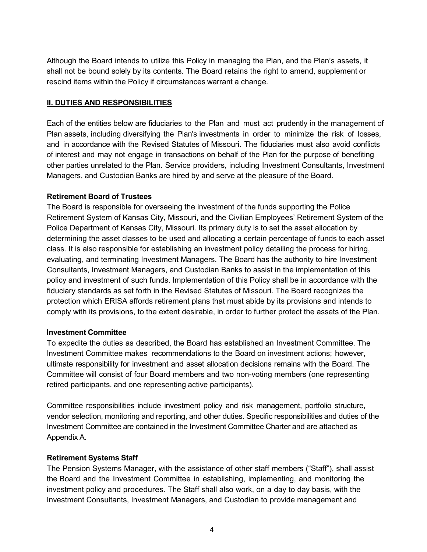Although the Board intends to utilize this Policy in managing the Plan, and the Plan's assets, it shall not be bound solely by its contents. The Board retains the right to amend, supplement or rescind items within the Policy if circumstances warrant a change.

#### **II. DUTIES AND RESPONSIBILITIES**

Each of the entities below are fiduciaries to the Plan and must act prudently in the management of Plan assets, including diversifying the Plan's investments in order to minimize the risk of losses, and in accordance with the Revised Statutes of Missouri. The fiduciaries must also avoid conflicts of interest and may not engage in transactions on behalf of the Plan for the purpose of benefiting other parties unrelated to the Plan. Service providers, including Investment Consultants, Investment Managers, and Custodian Banks are hired by and serve at the pleasure of the Board.

#### **Retirement Board of Trustees**

The Board is responsible for overseeing the investment of the funds supporting the Police Retirement System of Kansas City, Missouri, and the Civilian Employees' Retirement System of the Police Department of Kansas City, Missouri. Its primary duty is to set the asset allocation by determining the asset classes to be used and allocating a certain percentage of funds to each asset class. It is also responsible for establishing an investment policy detailing the process for hiring, evaluating, and terminating Investment Managers. The Board has the authority to hire Investment Consultants, Investment Managers, and Custodian Banks to assist in the implementation of this policy and investment of such funds. Implementation of this Policy shall be in accordance with the fiduciary standards as set forth in the Revised Statutes of Missouri. The Board recognizes the protection which ERISA affords retirement plans that must abide by its provisions and intends to comply with its provisions, to the extent desirable, in order to further protect the assets of the Plan.

## **Investment Committee**

To expedite the duties as described, the Board has established an Investment Committee. The Investment Committee makes recommendations to the Board on investment actions; however, ultimate responsibility for investment and asset allocation decisions remains with the Board. The Committee will consist of four Board members and two non-voting members (one representing retired participants, and one representing active participants).

Committee responsibilities include investment policy and risk management, portfolio structure, vendor selection, monitoring and reporting, and other duties. Specific responsibilities and duties of the Investment Committee are contained in the Investment Committee Charter and are attached as Appendix A.

## **Retirement Systems Staff**

The Pension Systems Manager, with the assistance of other staff members ("Staff"), shall assist the Board and the Investment Committee in establishing, implementing, and monitoring the investment policy and procedures. The Staff shall also work, on a day to day basis, with the Investment Consultants, Investment Managers, and Custodian to provide management and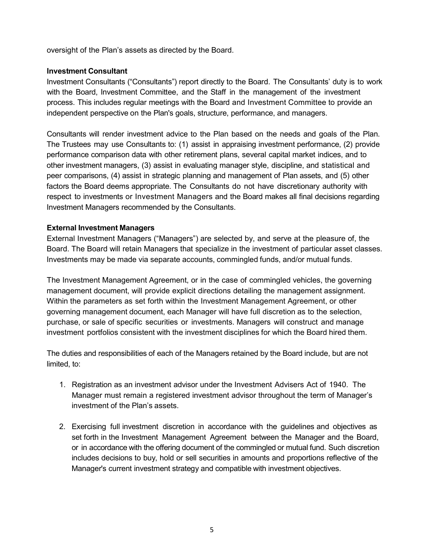oversight of the Plan's assets as directed by the Board.

#### **Investment Consultant**

Investment Consultants ("Consultants") report directly to the Board. The Consultants' duty is to work with the Board, Investment Committee, and the Staff in the management of the investment process. This includes regular meetings with the Board and Investment Committee to provide an independent perspective on the Plan's goals, structure, performance, and managers.

Consultants will render investment advice to the Plan based on the needs and goals of the Plan. The Trustees may use Consultants to: (1) assist in appraising investment performance, (2) provide performance comparison data with other retirement plans, several capital market indices, and to other investment managers, (3) assist in evaluating manager style, discipline, and statistical and peer comparisons, (4) assist in strategic planning and management of Plan assets, and (5) other factors the Board deems appropriate. The Consultants do not have discretionary authority with respect to investments or Investment Managers and the Board makes all final decisions regarding Investment Managers recommended by the Consultants.

#### **External Investment Managers**

External Investment Managers ("Managers") are selected by, and serve at the pleasure of, the Board. The Board will retain Managers that specialize in the investment of particular asset classes. Investments may be made via separate accounts, commingled funds, and/or mutual funds.

The Investment Management Agreement, or in the case of commingled vehicles, the governing management document, will provide explicit directions detailing the management assignment. Within the parameters as set forth within the Investment Management Agreement, or other governing management document, each Manager will have full discretion as to the selection, purchase, or sale of specific securities or investments. Managers will construct and manage investment portfolios consistent with the investment disciplines for which the Board hired them.

The duties and responsibilities of each of the Managers retained by the Board include, but are not limited, to:

- 1. Registration as an investment advisor under the Investment Advisers Act of 1940. The Manager must remain a registered investment advisor throughout the term of Manager's investment of the Plan's assets.
- 2. Exercising full investment discretion in accordance with the guidelines and objectives as set forth in the Investment Management Agreement between the Manager and the Board, or in accordance with the offering document of the commingled or mutual fund. Such discretion includes decisions to buy, hold or sell securities in amounts and proportions reflective of the Manager's current investment strategy and compatible with investment objectives.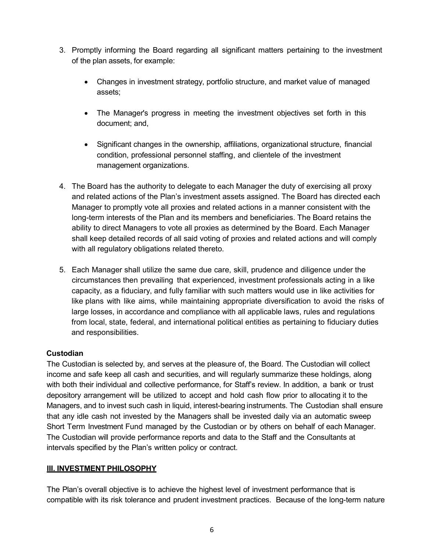- 3. Promptly informing the Board regarding all significant matters pertaining to the investment of the plan assets, for example:
	- Changes in investment strategy, portfolio structure, and market value of managed assets;
	- The Manager's progress in meeting the investment objectives set forth in this document; and,
	- Significant changes in the ownership, affiliations, organizational structure, financial condition, professional personnel staffing, and clientele of the investment management organizations.
- 4. The Board has the authority to delegate to each Manager the duty of exercising all proxy and related actions of the Plan's investment assets assigned. The Board has directed each Manager to promptly vote all proxies and related actions in a manner consistent with the long-term interests of the Plan and its members and beneficiaries. The Board retains the ability to direct Managers to vote all proxies as determined by the Board. Each Manager shall keep detailed records of all said voting of proxies and related actions and will comply with all regulatory obligations related thereto.
- 5. Each Manager shall utilize the same due care, skill, prudence and diligence under the circumstances then prevailing that experienced, investment professionals acting in a like capacity, as a fiduciary, and fully familiar with such matters would use in like activities for like plans with like aims, while maintaining appropriate diversification to avoid the risks of large losses, in accordance and compliance with all applicable laws, rules and regulations from local, state, federal, and international political entities as pertaining to fiduciary duties and responsibilities.

## **Custodian**

The Custodian is selected by, and serves at the pleasure of, the Board. The Custodian will collect income and safe keep all cash and securities, and will regularly summarize these holdings, along with both their individual and collective performance, for Staff's review. In addition, a bank or trust depository arrangement will be utilized to accept and hold cash flow prior to allocating it to the Managers, and to invest such cash in liquid, interest-bearing instruments. The Custodian shall ensure that any idle cash not invested by the Managers shall be invested daily via an automatic sweep Short Term Investment Fund managed by the Custodian or by others on behalf of each Manager. The Custodian will provide performance reports and data to the Staff and the Consultants at intervals specified by the Plan's written policy or contract.

# **III. INVESTMENT PHILOSOPHY**

The Plan's overall objective is to achieve the highest level of investment performance that is compatible with its risk tolerance and prudent investment practices. Because of the long-term nature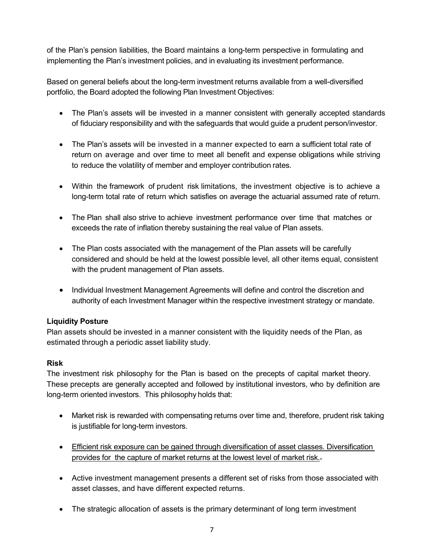of the Plan's pension liabilities, the Board maintains a long-term perspective in formulating and implementing the Plan's investment policies, and in evaluating its investment performance.

Based on general beliefs about the long-term investment returns available from a well-diversified portfolio, the Board adopted the following Plan Investment Objectives:

- The Plan's assets will be invested in a manner consistent with generally accepted standards of fiduciary responsibility and with the safeguards that would guide a prudent person/investor.
- The Plan's assets will be invested in a manner expected to earn a sufficient total rate of return on average and over time to meet all benefit and expense obligations while striving to reduce the volatility of member and employer contribution rates.
- Within the framework of prudent risk limitations, the investment objective is to achieve a long-term total rate of return which satisfies on average the actuarial assumed rate of return.
- The Plan shall also strive to achieve investment performance over time that matches or exceeds the rate of inflation thereby sustaining the real value of Plan assets.
- The Plan costs associated with the management of the Plan assets will be carefully considered and should be held at the lowest possible level, all other items equal, consistent with the prudent management of Plan assets.
- Individual Investment Management Agreements will define and control the discretion and authority of each Investment Manager within the respective investment strategy or mandate.

## **Liquidity Posture**

Plan assets should be invested in a manner consistent with the liquidity needs of the Plan, as estimated through a periodic asset liability study.

## **Risk**

The investment risk philosophy for the Plan is based on the precepts of capital market theory. These precepts are generally accepted and followed by institutional investors, who by definition are long-term oriented investors. This philosophy holds that:

- Market risk is rewarded with compensating returns over time and, therefore, prudent risk taking is justifiable for long-term investors.
- Efficient risk exposure can be gained through diversification of asset classes. Diversification provides for the capture of market returns at the lowest level of market risk..
- Active investment management presents a different set of risks from those associated with asset classes, and have different expected returns.
- The strategic allocation of assets is the primary determinant of long term investment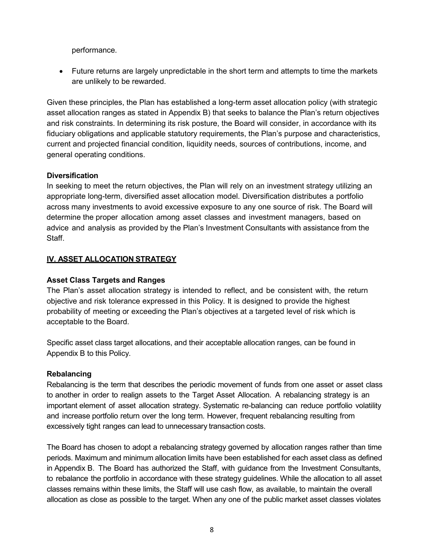performance.

• Future returns are largely unpredictable in the short term and attempts to time the markets are unlikely to be rewarded.

Given these principles, the Plan has established a long-term asset allocation policy (with strategic asset allocation ranges as stated in Appendix B) that seeks to balance the Plan's return objectives and risk constraints. In determining its risk posture, the Board will consider, in accordance with its fiduciary obligations and applicable statutory requirements, the Plan's purpose and characteristics, current and projected financial condition, liquidity needs, sources of contributions, income, and general operating conditions.

### **Diversification**

In seeking to meet the return objectives, the Plan will rely on an investment strategy utilizing an appropriate long-term, diversified asset allocation model. Diversification distributes a portfolio across many investments to avoid excessive exposure to any one source of risk. The Board will determine the proper allocation among asset classes and investment managers, based on advice and analysis as provided by the Plan's Investment Consultants with assistance from the Staff.

### **IV. ASSET ALLOCATION STRATEGY**

### **Asset Class Targets and Ranges**

The Plan's asset allocation strategy is intended to reflect, and be consistent with, the return objective and risk tolerance expressed in this Policy. It is designed to provide the highest probability of meeting or exceeding the Plan's objectives at a targeted level of risk which is acceptable to the Board.

Specific asset class target allocations, and their acceptable allocation ranges, can be found in Appendix B to this Policy.

#### **Rebalancing**

Rebalancing is the term that describes the periodic movement of funds from one asset or asset class to another in order to realign assets to the Target Asset Allocation. A rebalancing strategy is an important element of asset allocation strategy. Systematic re-balancing can reduce portfolio volatility and increase portfolio return over the long term. However, frequent rebalancing resulting from excessively tight ranges can lead to unnecessary transaction costs.

The Board has chosen to adopt a rebalancing strategy governed by allocation ranges rather than time periods. Maximum and minimum allocation limits have been established for each asset class as defined in Appendix B. The Board has authorized the Staff, with guidance from the Investment Consultants, to rebalance the portfolio in accordance with these strategy guidelines. While the allocation to all asset classes remains within these limits, the Staff will use cash flow, as available, to maintain the overall allocation as close as possible to the target. When any one of the public market asset classes violates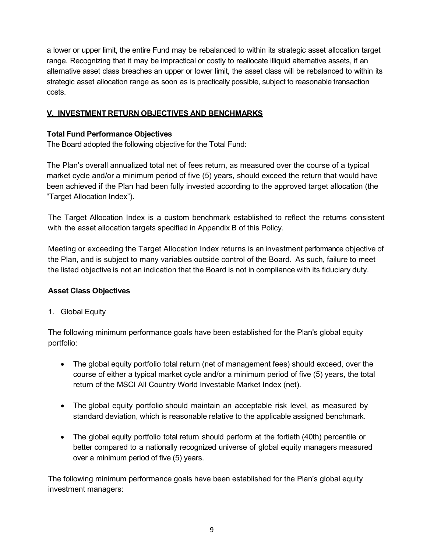a lower or upper limit, the entire Fund may be rebalanced to within its strategic asset allocation target range. Recognizing that it may be impractical or costly to reallocate illiquid alternative assets, if an alternative asset class breaches an upper or lower limit, the asset class will be rebalanced to within its strategic asset allocation range as soon as is practically possible, subject to reasonable transaction costs.

# **V. INVESTMENT RETURN OBJECTIVES AND BENCHMARKS**

## **Total Fund Performance Objectives**

The Board adopted the following objective for the Total Fund:

The Plan's overall annualized total net of fees return, as measured over the course of a typical market cycle and/or a minimum period of five (5) years, should exceed the return that would have been achieved if the Plan had been fully invested according to the approved target allocation (the "Target Allocation Index").

The Target Allocation Index is a custom benchmark established to reflect the returns consistent with the asset allocation targets specified in Appendix B of this Policy.

Meeting or exceeding the Target Allocation Index returns is an investment performance objective of the Plan, and is subject to many variables outside control of the Board. As such, failure to meet the listed objective is not an indication that the Board is not in compliance with its fiduciary duty.

## **Asset Class Objectives**

## 1. Global Equity

The following minimum performance goals have been established for the Plan's global equity portfolio:

- The global equity portfolio total return (net of management fees) should exceed, over the course of either a typical market cycle and/or a minimum period of five (5) years, the total return of the MSCI All Country World Investable Market Index (net).
- The global equity portfolio should maintain an acceptable risk level, as measured by standard deviation, which is reasonable relative to the applicable assigned benchmark.
- The global equity portfolio total return should perform at the fortieth (40th) percentile or better compared to a nationally recognized universe of global equity managers measured over a minimum period of five (5) years.

The following minimum performance goals have been established for the Plan's global equity investment managers: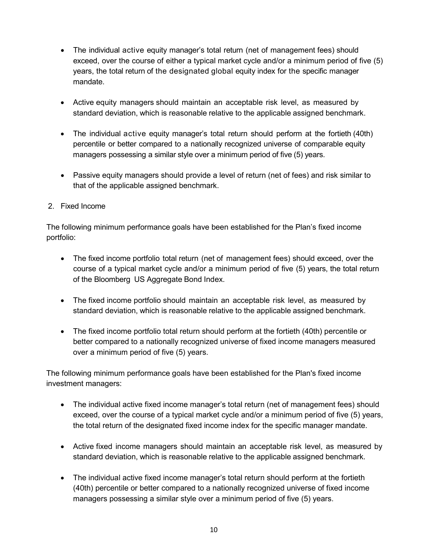- The individual active equity manager's total return (net of management fees) should exceed, over the course of either a typical market cycle and/or a minimum period of five (5) years, the total return of the designated global equity index for the specific manager mandate.
- Active equity managers should maintain an acceptable risk level, as measured by standard deviation, which is reasonable relative to the applicable assigned benchmark.
- The individual active equity manager's total return should perform at the fortieth (40th) percentile or better compared to a nationally recognized universe of comparable equity managers possessing a similar style over a minimum period of five (5) years.
- Passive equity managers should provide a level of return (net of fees) and risk similar to that of the applicable assigned benchmark.
- 2. Fixed Income

The following minimum performance goals have been established for the Plan's fixed income portfolio:

- The fixed income portfolio total return (net of management fees) should exceed, over the course of a typical market cycle and/or a minimum period of five (5) years, the total return of the Bloomberg US Aggregate Bond Index.
- The fixed income portfolio should maintain an acceptable risk level, as measured by standard deviation, which is reasonable relative to the applicable assigned benchmark.
- The fixed income portfolio total return should perform at the fortieth (40th) percentile or better compared to a nationally recognized universe of fixed income managers measured over a minimum period of five (5) years.

The following minimum performance goals have been established for the Plan's fixed income investment managers:

- The individual active fixed income manager's total return (net of management fees) should exceed, over the course of a typical market cycle and/or a minimum period of five (5) years, the total return of the designated fixed income index for the specific manager mandate.
- Active fixed income managers should maintain an acceptable risk level, as measured by standard deviation, which is reasonable relative to the applicable assigned benchmark.
- The individual active fixed income manager's total return should perform at the fortieth (40th) percentile or better compared to a nationally recognized universe of fixed income managers possessing a similar style over a minimum period of five (5) years.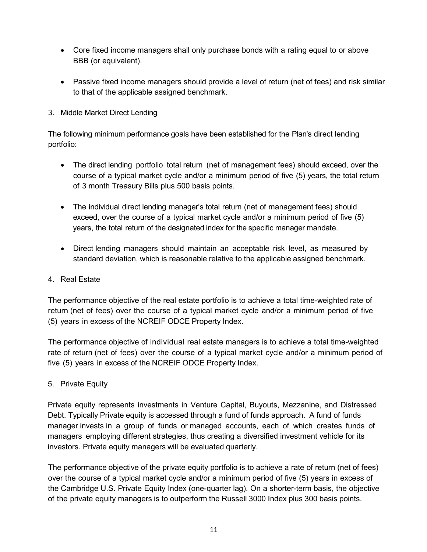- Core fixed income managers shall only purchase bonds with a rating equal to or above BBB (or equivalent).
- Passive fixed income managers should provide a level of return (net of fees) and risk similar to that of the applicable assigned benchmark.
- 3. Middle Market Direct Lending

The following minimum performance goals have been established for the Plan's direct lending portfolio:

- The direct lending portfolio total return (net of management fees) should exceed, over the course of a typical market cycle and/or a minimum period of five (5) years, the total return of 3 month Treasury Bills plus 500 basis points.
- The individual direct lending manager's total return (net of management fees) should exceed, over the course of a typical market cycle and/or a minimum period of five (5) years, the total return of the designated index for the specific manager mandate.
- Direct lending managers should maintain an acceptable risk level, as measured by standard deviation, which is reasonable relative to the applicable assigned benchmark.
- 4. Real Estate

The performance objective of the real estate portfolio is to achieve a total time-weighted rate of return (net of fees) over the course of a typical market cycle and/or a minimum period of five (5) years in excess of the NCREIF ODCE Property Index.

The performance objective of individual real estate managers is to achieve a total time-weighted rate of return (net of fees) over the course of a typical market cycle and/or a minimum period of five (5) years in excess of the NCREIF ODCE Property Index.

5. Private Equity

Private equity represents investments in Venture Capital, Buyouts, Mezzanine, and Distressed Debt. Typically Private equity is accessed through a fund of funds approach. A fund of funds manager invests in a group of funds or managed accounts, each of which creates funds of managers employing different strategies, thus creating a diversified investment vehicle for its investors. Private equity managers will be evaluated quarterly.

The performance objective of the private equity portfolio is to achieve a rate of return (net of fees) over the course of a typical market cycle and/or a minimum period of five (5) years in excess of the Cambridge U.S. Private Equity Index (one-quarter lag). On a shorter-term basis, the objective of the private equity managers is to outperform the Russell 3000 Index plus 300 basis points.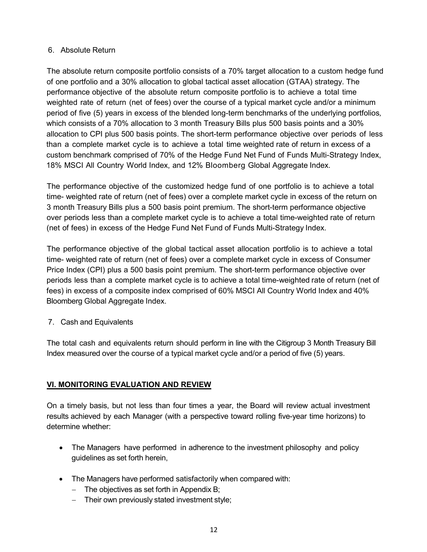### 6. Absolute Return

The absolute return composite portfolio consists of a 70% target allocation to a custom hedge fund of one portfolio and a 30% allocation to global tactical asset allocation (GTAA) strategy. The performance objective of the absolute return composite portfolio is to achieve a total time weighted rate of return (net of fees) over the course of a typical market cycle and/or a minimum period of five (5) years in excess of the blended long-term benchmarks of the underlying portfolios*,* which consists of a 70% allocation to 3 month Treasury Bills plus 500 basis points and a 30% allocation to CPI plus 500 basis points. The short-term performance objective over periods of less than a complete market cycle is to achieve a total time weighted rate of return in excess of a custom benchmark comprised of 70% of the Hedge Fund Net Fund of Funds Multi-Strategy Index, 18% MSCI All Country World Index, and 12% Bloomberg Global Aggregate Index.

The performance objective of the customized hedge fund of one portfolio is to achieve a total time- weighted rate of return (net of fees) over a complete market cycle in excess of the return on 3 month Treasury Bills plus a 500 basis point premium. The short-term performance objective over periods less than a complete market cycle is to achieve a total time-weighted rate of return (net of fees) in excess of the Hedge Fund Net Fund of Funds Multi-Strategy Index.

The performance objective of the global tactical asset allocation portfolio is to achieve a total time- weighted rate of return (net of fees) over a complete market cycle in excess of Consumer Price Index (CPI) plus a 500 basis point premium. The short-term performance objective over periods less than a complete market cycle is to achieve a total time-weighted rate of return (net of fees) in excess of a composite index comprised of 60% MSCI All Country World Index and 40% Bloomberg Global Aggregate Index.

7. Cash and Equivalents

The total cash and equivalents return should perform in line with the Citigroup 3 Month Treasury Bill Index measured over the course of a typical market cycle and/or a period of five (5) years.

## **VI. MONITORING EVALUATION AND REVIEW**

On a timely basis, but not less than four times a year, the Board will review actual investment results achieved by each Manager (with a perspective toward rolling five-year time horizons) to determine whether:

- The Managers have performed in adherence to the investment philosophy and policy guidelines as set forth herein,
- The Managers have performed satisfactorily when compared with:
	- − The objectives as set forth in Appendix B;
	- − Their own previously stated investment style;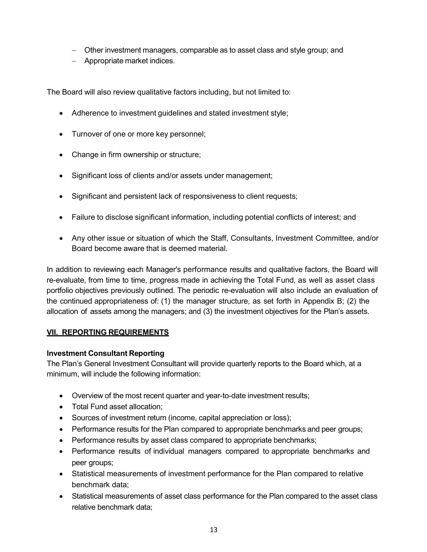- − Other investment managers, comparable as to asset class and style group; and
- − Appropriate market indices.

The Board will also review qualitative factors including, but not limited to:

- Adherence to investment guidelines and stated investment style;
- Turnover of one or more key personnel;
- Change in firm ownership or structure;
- Significant loss of clients and/or assets under management;
- Significant and persistent lack of responsiveness to client requests;
- Failure to disclose significant information, including potential conflicts of interest; and
- Any other issue or situation of which the Staff, Consultants, Investment Committee, and/or Board become aware that is deemed material.

In addition to reviewing each Manager's performance results and qualitative factors, the Board will re-evaluate, from time to time, progress made in achieving the Total Fund, as well as asset class portfolio objectives previously outlined. The periodic re-evaluation will also include an evaluation of the continued appropriateness of: (1) the manager structure, as set forth in Appendix B; (2) the allocation of assets among the managers; and (3) the investment objectives for the Plan's assets.

#### **VII. REPORTING REQUIREMENTS**

#### **Investment Consultant Reporting**

The Plan's General Investment Consultant will provide quarterly reports to the Board which, at a minimum, will include the following information:

- Overview of the most recent quarter and year-to-date investment results;
- Total Fund asset allocation;
- Sources of investment return (income, capital appreciation or loss);
- Performance results for the Plan compared to appropriate benchmarks and peer groups;
- Performance results by asset class compared to appropriate benchmarks;
- Performance results of individual managers compared to appropriate benchmarks and peer groups;
- Statistical measurements of investment performance for the Plan compared to relative benchmark data;
- Statistical measurements of asset class performance for the Plan compared to the asset class relative benchmark data;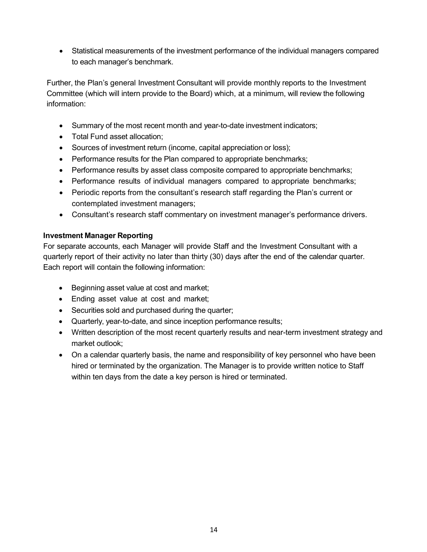• Statistical measurements of the investment performance of the individual managers compared to each manager's benchmark.

Further, the Plan's general Investment Consultant will provide monthly reports to the Investment Committee (which will intern provide to the Board) which, at a minimum, will review the following information:

- Summary of the most recent month and year-to-date investment indicators;
- Total Fund asset allocation;
- Sources of investment return (income, capital appreciation or loss);
- Performance results for the Plan compared to appropriate benchmarks;
- Performance results by asset class composite compared to appropriate benchmarks;
- Performance results of individual managers compared to appropriate benchmarks;
- Periodic reports from the consultant's research staff regarding the Plan's current or contemplated investment managers;
- Consultant's research staff commentary on investment manager's performance drivers.

## **Investment Manager Reporting**

For separate accounts, each Manager will provide Staff and the Investment Consultant with a quarterly report of their activity no later than thirty (30) days after the end of the calendar quarter. Each report will contain the following information:

- Beginning asset value at cost and market;
- Ending asset value at cost and market;
- Securities sold and purchased during the quarter;
- Quarterly, year-to-date, and since inception performance results;
- Written description of the most recent quarterly results and near-term investment strategy and market outlook;
- On a calendar quarterly basis, the name and responsibility of key personnel who have been hired or terminated by the organization. The Manager is to provide written notice to Staff within ten days from the date a key person is hired or terminated.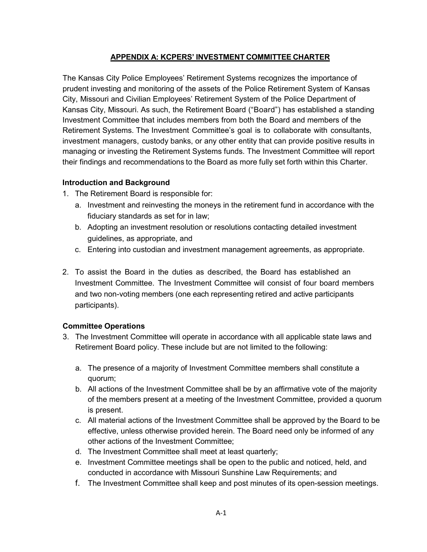### **APPENDIX A: KCPERS' INVESTMENT COMMITTEE CHARTER**

The Kansas City Police Employees' Retirement Systems recognizes the importance of prudent investing and monitoring of the assets of the Police Retirement System of Kansas City, Missouri and Civilian Employees' Retirement System of the Police Department of Kansas City, Missouri. As such, the Retirement Board ("Board") has established a standing Investment Committee that includes members from both the Board and members of the Retirement Systems. The Investment Committee's goal is to collaborate with consultants, investment managers, custody banks, or any other entity that can provide positive results in managing or investing the Retirement Systems funds. The Investment Committee will report their findings and recommendations to the Board as more fully set forth within this Charter.

## **Introduction and Background**

- 1. The Retirement Board is responsible for:
	- a. Investment and reinvesting the moneys in the retirement fund in accordance with the fiduciary standards as set for in law;
	- b. Adopting an investment resolution or resolutions contacting detailed investment guidelines, as appropriate, and
	- c. Entering into custodian and investment management agreements, as appropriate.
- 2. To assist the Board in the duties as described, the Board has established an Investment Committee. The Investment Committee will consist of four board members and two non-voting members (one each representing retired and active participants participants).

## **Committee Operations**

- 3. The Investment Committee will operate in accordance with all applicable state laws and Retirement Board policy. These include but are not limited to the following:
	- a. The presence of a majority of Investment Committee members shall constitute a quorum;
	- b. All actions of the Investment Committee shall be by an affirmative vote of the majority of the members present at a meeting of the Investment Committee, provided a quorum is present.
	- c. All material actions of the Investment Committee shall be approved by the Board to be effective, unless otherwise provided herein. The Board need only be informed of any other actions of the Investment Committee;
	- d. The Investment Committee shall meet at least quarterly;
	- e. Investment Committee meetings shall be open to the public and noticed, held, and conducted in accordance with Missouri Sunshine Law Requirements; and
	- f. The Investment Committee shall keep and post minutes of its open-session meetings.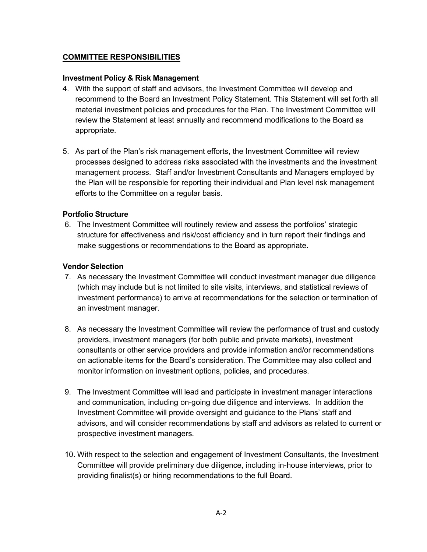### **COMMITTEE RESPONSIBILITIES**

#### **Investment Policy & Risk Management**

- 4. With the support of staff and advisors, the Investment Committee will develop and recommend to the Board an Investment Policy Statement. This Statement will set forth all material investment policies and procedures for the Plan. The Investment Committee will review the Statement at least annually and recommend modifications to the Board as appropriate.
- 5. As part of the Plan's risk management efforts, the Investment Committee will review processes designed to address risks associated with the investments and the investment management process. Staff and/or Investment Consultants and Managers employed by the Plan will be responsible for reporting their individual and Plan level risk management efforts to the Committee on a regular basis.

#### **Portfolio Structure**

6. The Investment Committee will routinely review and assess the portfolios' strategic structure for effectiveness and risk/cost efficiency and in turn report their findings and make suggestions or recommendations to the Board as appropriate.

#### **Vendor Selection**

- 7. As necessary the Investment Committee will conduct investment manager due diligence (which may include but is not limited to site visits, interviews, and statistical reviews of investment performance) to arrive at recommendations for the selection or termination of an investment manager.
- 8. As necessary the Investment Committee will review the performance of trust and custody providers, investment managers (for both public and private markets), investment consultants or other service providers and provide information and/or recommendations on actionable items for the Board's consideration. The Committee may also collect and monitor information on investment options, policies, and procedures.
- 9. The Investment Committee will lead and participate in investment manager interactions and communication, including on-going due diligence and interviews. In addition the Investment Committee will provide oversight and guidance to the Plans' staff and advisors, and will consider recommendations by staff and advisors as related to current or prospective investment managers.
- 10. With respect to the selection and engagement of Investment Consultants, the Investment Committee will provide preliminary due diligence, including in-house interviews, prior to providing finalist(s) or hiring recommendations to the full Board.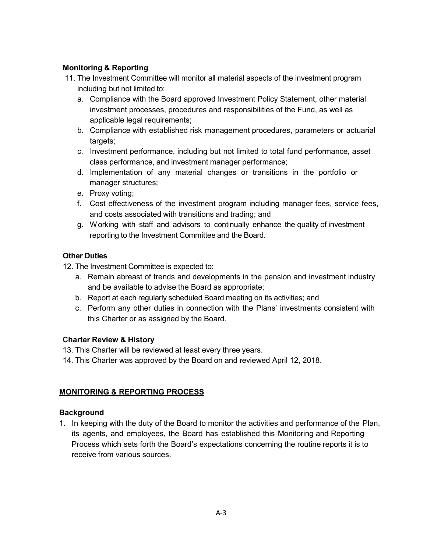# **Monitoring & Reporting**

- 11. The Investment Committee will monitor all material aspects of the investment program including but not limited to:
	- a. Compliance with the Board approved Investment Policy Statement, other material investment processes, procedures and responsibilities of the Fund, as well as applicable legal requirements;
	- b. Compliance with established risk management procedures, parameters or actuarial targets;
	- c. Investment performance, including but not limited to total fund performance, asset class performance, and investment manager performance;
	- d. Implementation of any material changes or transitions in the portfolio or manager structures;
	- e. Proxy voting;
	- f. Cost effectiveness of the investment program including manager fees, service fees, and costs associated with transitions and trading; and
	- g. Working with staff and advisors to continually enhance the quality of investment reporting to the Investment Committee and the Board.

## **Other Duties**

- 12. The Investment Committee is expected to:
	- a. Remain abreast of trends and developments in the pension and investment industry and be available to advise the Board as appropriate;
	- b. Report at each regularly scheduled Board meeting on its activities; and
	- c. Perform any other duties in connection with the Plans' investments consistent with this Charter or as assigned by the Board.

## **Charter Review & History**

- 13. This Charter will be reviewed at least every three years.
- 14. This Charter was approved by the Board on and reviewed April 12, 2018.

## **MONITORING & REPORTING PROCESS**

## **Background**

1. In keeping with the duty of the Board to monitor the activities and performance of the Plan, its agents, and employees, the Board has established this Monitoring and Reporting Process which sets forth the Board's expectations concerning the routine reports it is to receive from various sources.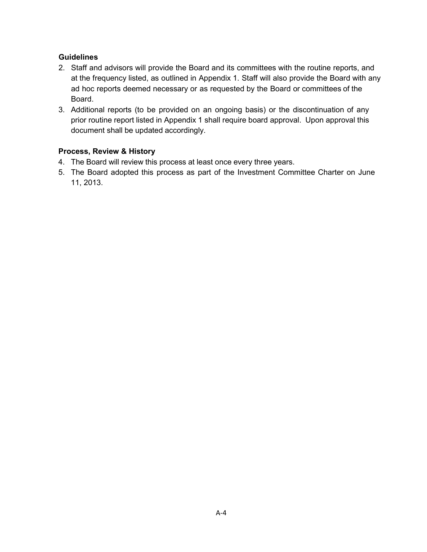## **Guidelines**

- 2. Staff and advisors will provide the Board and its committees with the routine reports, and at the frequency listed, as outlined in Appendix 1. Staff will also provide the Board with any ad hoc reports deemed necessary or as requested by the Board or committees of the Board.
- 3. Additional reports (to be provided on an ongoing basis) or the discontinuation of any prior routine report listed in Appendix 1 shall require board approval. Upon approval this document shall be updated accordingly.

### **Process, Review & History**

- 4. The Board will review this process at least once every three years.
- 5. The Board adopted this process as part of the Investment Committee Charter on June 11, 2013.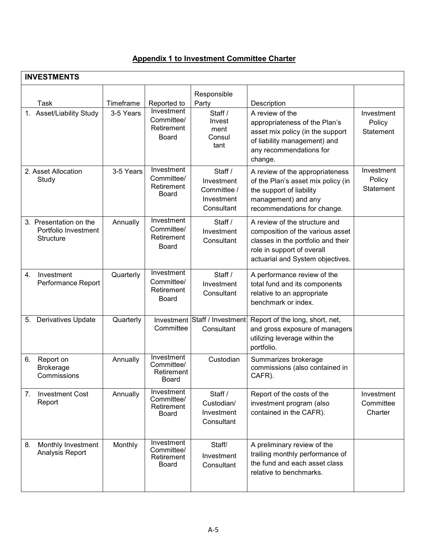# **Appendix 1 to Investment Committee Charter**

| <b>INVESTMENTS</b>                                          |           |                                                        |                                                                  |                                                                                                                                                                           |                                    |
|-------------------------------------------------------------|-----------|--------------------------------------------------------|------------------------------------------------------------------|---------------------------------------------------------------------------------------------------------------------------------------------------------------------------|------------------------------------|
| Task                                                        | Timeframe | Reported to                                            | Responsible<br>Party                                             | Description                                                                                                                                                               |                                    |
| 1. Asset/Liability Study                                    | 3-5 Years | Investment<br>Committee/<br>Retirement<br><b>Board</b> | Staff /<br>Invest<br>ment<br>Consul<br>tant                      | A review of the<br>appropriateness of the Plan's<br>asset mix policy (in the support<br>of liability management) and<br>any recommendations for<br>change.                | Investment<br>Policy<br>Statement  |
| 2. Asset Allocation<br>Study                                | 3-5 Years | Investment<br>Committee/<br>Retirement<br>Board        | Staff /<br>Investment<br>Committee /<br>Investment<br>Consultant | A review of the appropriateness<br>of the Plan's asset mix policy (in<br>the support of liability<br>management) and any<br>recommendations for change.                   | Investment<br>Policy<br>Statement  |
| 3. Presentation on the<br>Portfolio Investment<br>Structure | Annually  | Investment<br>Committee/<br>Retirement<br><b>Board</b> | Staff /<br>Investment<br>Consultant                              | A review of the structure and<br>composition of the various asset<br>classes in the portfolio and their<br>role in support of overall<br>actuarial and System objectives. |                                    |
| 4.<br>Investment<br>Performance Report                      | Quarterly | Investment<br>Committee/<br>Retirement<br>Board        | Staff /<br>Investment<br>Consultant                              | A performance review of the<br>total fund and its components<br>relative to an appropriate<br>benchmark or index.                                                         |                                    |
| Derivatives Update<br>5.                                    | Quarterly | Investment<br>Committee                                | Staff / Investment<br>Consultant                                 | Report of the long, short, net,<br>and gross exposure of managers<br>utilizing leverage within the<br>portfolio.                                                          |                                    |
| 6.<br>Report on<br><b>Brokerage</b><br>Commissions          | Annually  | Investment<br>Committee/<br>Retirement<br>Board        | Custodian                                                        | Summarizes brokerage<br>commissions (also contained in<br>CAFR).                                                                                                          |                                    |
| <b>Investment Cost</b><br>7.<br>Report                      | Annually  | Investment<br>Committee/<br>Retirement<br>Board        | Staff /<br>Custodian/<br>Investment<br>Consultant                | Report of the costs of the<br>investment program (also<br>contained in the CAFR).                                                                                         | Investment<br>Committee<br>Charter |
| 8.<br>Monthly Investment<br>Analysis Report                 | Monthly   | Investment<br>Committee/<br>Retirement<br>Board        | Staff/<br>Investment<br>Consultant                               | A preliminary review of the<br>trailing monthly performance of<br>the fund and each asset class<br>relative to benchmarks.                                                |                                    |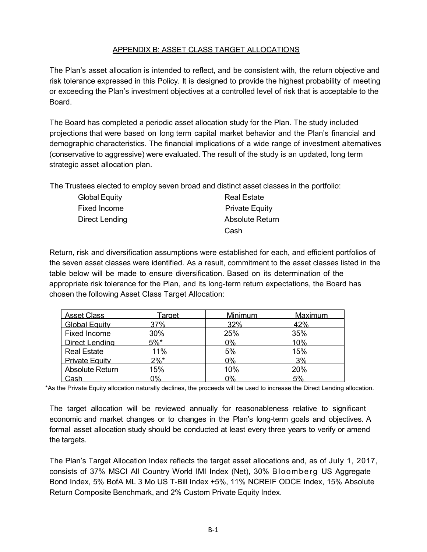# APPENDIX B: ASSET CLASS TARGET ALLOCATIONS

The Plan's asset allocation is intended to reflect, and be consistent with, the return objective and risk tolerance expressed in this Policy. It is designed to provide the highest probability of meeting or exceeding the Plan's investment objectives at a controlled level of risk that is acceptable to the **Board** 

The Board has completed a periodic asset allocation study for the Plan. The study included projections that were based on long term capital market behavior and the Plan's financial and demographic characteristics. The financial implications of a wide range of investment alternatives (conservative to aggressive) were evaluated. The result of the study is an updated, long term strategic asset allocation plan.

The Trustees elected to employ seven broad and distinct asset classes in the portfolio:

| <b>Global Equity</b> | <b>Real Estate</b>    |
|----------------------|-----------------------|
| Fixed Income         | <b>Private Equity</b> |
| Direct Lending       | Absolute Return       |
|                      | Cash                  |

Return, risk and diversification assumptions were established for each, and efficient portfolios of the seven asset classes were identified. As a result, commitment to the asset classes listed in the table below will be made to ensure diversification. Based on its determination of the appropriate risk tolerance for the Plan, and its long-term return expectations, the Board has chosen the following Asset Class Target Allocation:

| <b>Asset Class</b>     | <u>Tarqet</u> | Minimum | Maximum |
|------------------------|---------------|---------|---------|
| <b>Global Equity</b>   | 37%           | 32%     | 42%     |
| <b>Fixed Income</b>    | 30%           | 25%     | 35%     |
| <b>Direct Lending</b>  | $5%$ *        | 0%      | 10%     |
| <b>Real Estate</b>     | 11%           | 5%      | 15%     |
| <b>Private Equity</b>  | $2\%*$        | 0%      | 3%      |
| <b>Absolute Return</b> | 15%           | 10%     | 20%     |
| Cash                   | 0%            | 0%      | 5%      |

\*As the Private Equity allocation naturally declines, the proceeds will be used to increase the Direct Lending allocation.

The target allocation will be reviewed annually for reasonableness relative to significant economic and market changes or to changes in the Plan's long-term goals and objectives. A formal asset allocation study should be conducted at least every three years to verify or amend the targets.

The Plan's Target Allocation Index reflects the target asset allocations and, as of July 1, 2017, consists of 37% MSCI All Country World IMI Index (Net), 30% Bloomberg US Aggregate Bond Index, 5% BofA ML 3 Mo US T-Bill Index +5%, 11% NCREIF ODCE Index, 15% Absolute Return Composite Benchmark, and 2% Custom Private Equity Index.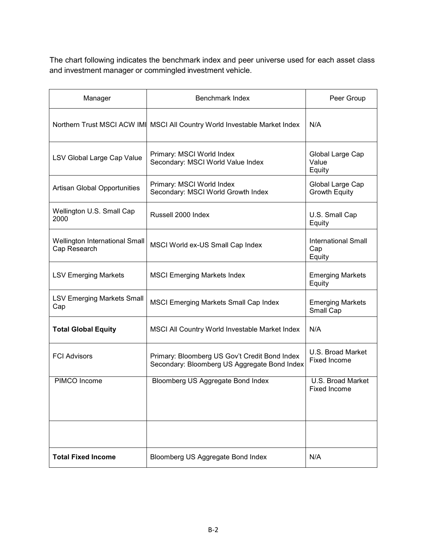The chart following indicates the benchmark index and peer universe used for each asset class and investment manager or commingled investment vehicle.

| Manager                                        | Benchmark Index                                                                               | Peer Group                                  |
|------------------------------------------------|-----------------------------------------------------------------------------------------------|---------------------------------------------|
|                                                | Northern Trust MSCI ACW IM  MSCI All Country World Investable Market Index                    | N/A                                         |
| LSV Global Large Cap Value                     | Primary: MSCI World Index<br>Secondary: MSCI World Value Index                                | Global Large Cap<br>Value<br>Equity         |
| <b>Artisan Global Opportunities</b>            | Primary: MSCI World Index<br>Secondary: MSCI World Growth Index                               | Global Large Cap<br><b>Growth Equity</b>    |
| Wellington U.S. Small Cap<br>2000              | Russell 2000 Index                                                                            | U.S. Small Cap<br>Equity                    |
| Wellington International Small<br>Cap Research | MSCI World ex-US Small Cap Index                                                              | <b>International Small</b><br>Cap<br>Equity |
| <b>LSV Emerging Markets</b>                    | <b>MSCI Emerging Markets Index</b>                                                            | <b>Emerging Markets</b><br>Equity           |
| <b>LSV Emerging Markets Small</b><br>Cap       | <b>MSCI Emerging Markets Small Cap Index</b>                                                  | <b>Emerging Markets</b><br>Small Cap        |
| <b>Total Global Equity</b>                     | MSCI All Country World Investable Market Index                                                | N/A                                         |
| <b>FCI Advisors</b>                            | Primary: Bloomberg US Gov't Credit Bond Index<br>Secondary: Bloomberg US Aggregate Bond Index | U.S. Broad Market<br>Fixed Income           |
| PIMCO Income                                   | Bloomberg US Aggregate Bond Index                                                             | U.S. Broad Market<br><b>Fixed Income</b>    |
|                                                |                                                                                               |                                             |
|                                                |                                                                                               |                                             |
| <b>Total Fixed Income</b>                      | Bloomberg US Aggregate Bond Index                                                             | N/A                                         |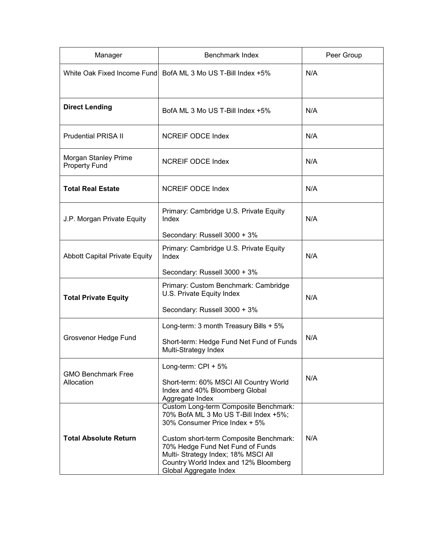| Manager                                      | Benchmark Index                                                                                                                                                                                                                                                                                         | Peer Group |
|----------------------------------------------|---------------------------------------------------------------------------------------------------------------------------------------------------------------------------------------------------------------------------------------------------------------------------------------------------------|------------|
| White Oak Fixed Income Fund                  | BofA ML 3 Mo US T-Bill Index +5%                                                                                                                                                                                                                                                                        | N/A        |
| <b>Direct Lending</b>                        | BofA ML 3 Mo US T-Bill Index +5%                                                                                                                                                                                                                                                                        | N/A        |
| <b>Prudential PRISA II</b>                   | <b>NCREIF ODCE Index</b>                                                                                                                                                                                                                                                                                | N/A        |
| Morgan Stanley Prime<br><b>Property Fund</b> | <b>NCREIF ODCE Index</b>                                                                                                                                                                                                                                                                                | N/A        |
| <b>Total Real Estate</b>                     | <b>NCREIF ODCE Index</b>                                                                                                                                                                                                                                                                                | N/A        |
| J.P. Morgan Private Equity                   | Primary: Cambridge U.S. Private Equity<br>Index                                                                                                                                                                                                                                                         | N/A        |
| <b>Abbott Capital Private Equity</b>         | Secondary: Russell 3000 + 3%<br>Primary: Cambridge U.S. Private Equity<br>Index<br>Secondary: Russell 3000 + 3%                                                                                                                                                                                         | N/A        |
| <b>Total Private Equity</b>                  | Primary: Custom Benchmark: Cambridge<br>U.S. Private Equity Index<br>Secondary: Russell 3000 + 3%                                                                                                                                                                                                       | N/A        |
| Grosvenor Hedge Fund                         | Long-term: 3 month Treasury Bills + 5%<br>Short-term: Hedge Fund Net Fund of Funds<br>Multi-Strategy Index                                                                                                                                                                                              | N/A        |
| <b>GMO Benchmark Free</b><br>Allocation      | Long-term: CPI + 5%<br>Short-term: 60% MSCI All Country World<br>Index and 40% Bloomberg Global<br>Aggregate Index                                                                                                                                                                                      | N/A        |
| <b>Total Absolute Return</b>                 | Custom Long-term Composite Benchmark:<br>70% BofA ML 3 Mo US T-Bill Index +5%;<br>30% Consumer Price Index + 5%<br>Custom short-term Composite Benchmark:<br>70% Hedge Fund Net Fund of Funds<br>Multi- Strategy Index; 18% MSCI All<br>Country World Index and 12% Bloomberg<br>Global Aggregate Index | N/A        |